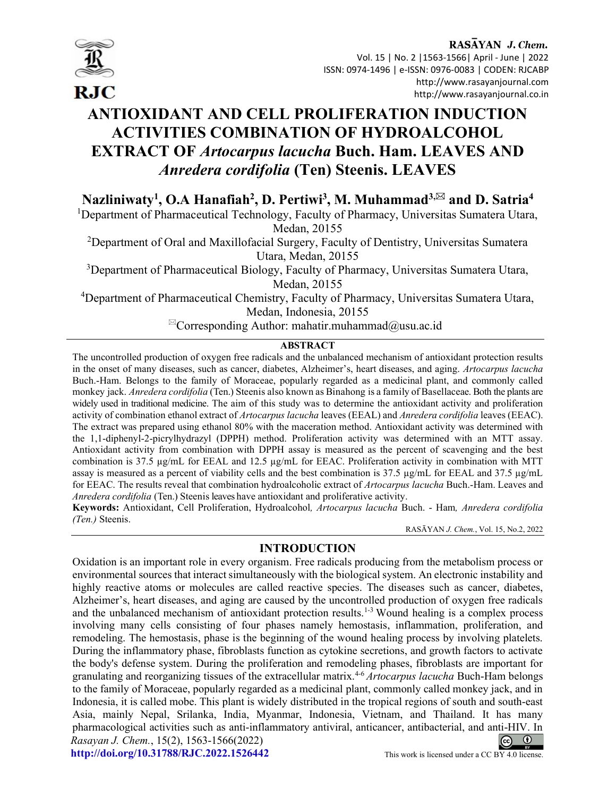

RASAYAN J. Chem. Vol. 15 | No. 2 |1563-1566| April - June | 2022 ISSN: 0974-1496 | e-ISSN: 0976-0083 | CODEN: RJCABP http://www.rasayanjournal.com http://www.rasayanjournal.co.in

# ANTIOXIDANT AND CELL PROLIFERATION INDUCTION ACTIVITIES COMBINATION OF HYDROALCOHOL EXTRACT OF Artocarpus lacucha Buch. Ham. LEAVES AND Anredera cordifolia (Ten) Steenis. LEAVES

Nazliniwaty<sup>1</sup>, O.A Hanafiah<sup>2</sup>, D. Pertiwi<sup>3</sup>, M. Muhammad<sup>3,⊠</sup> and D. Satria<sup>4</sup>

<sup>1</sup>Department of Pharmaceutical Technology, Faculty of Pharmacy, Universitas Sumatera Utara, Medan, 20155

<sup>2</sup>Department of Oral and Maxillofacial Surgery, Faculty of Dentistry, Universitas Sumatera Utara, Medan, 20155

<sup>3</sup>Department of Pharmaceutical Biology, Faculty of Pharmacy, Universitas Sumatera Utara, Medan, 20155

<sup>4</sup>Department of Pharmaceutical Chemistry, Faculty of Pharmacy, Universitas Sumatera Utara, Medan, Indonesia, 20155

 ${}^{\boxtimes}$ Corresponding Author: mahatir.muhammad $@$ usu.ac.id

## **ABSTRACT**

The uncontrolled production of oxygen free radicals and the unbalanced mechanism of antioxidant protection results in the onset of many diseases, such as cancer, diabetes, Alzheimer's, heart diseases, and aging. Artocarpus lacucha Buch.-Ham. Belongs to the family of Moraceae, popularly regarded as a medicinal plant, and commonly called monkey jack. Anredera cordifolia (Ten.) Steenis also known as Binahong is a family of Basellaceae. Both the plants are widely used in traditional medicine. The aim of this study was to determine the antioxidant activity and proliferation activity of combination ethanol extract of Artocarpus lacucha leaves (EEAL) and Anredera cordifolia leaves (EEAC). The extract was prepared using ethanol 80% with the maceration method. Antioxidant activity was determined with the 1,1-diphenyl-2-picrylhydrazyl (DPPH) method. Proliferation activity was determined with an MTT assay. Antioxidant activity from combination with DPPH assay is measured as the percent of scavenging and the best combination is 37.5 µg/mL for EEAL and 12.5 µg/mL for EEAC. Proliferation activity in combination with MTT assay is measured as a percent of viability cells and the best combination is 37.5 µg/mL for EEAL and 37.5 µg/mL for EEAC. The results reveal that combination hydroalcoholic extract of Artocarpus lacucha Buch.-Ham. Leaves and Anredera cordifolia (Ten.) Steenis leaves have antioxidant and proliferative activity.

Keywords: Antioxidant, Cell Proliferation, Hydroalcohol, Artocarpus lacucha Buch. - Ham, Anredera cordifolia (Ten.) Steenis.

RASĀYAN J. Chem., Vol. 15, No.2, 2022

## INTRODUCTION

Oxidation is an important role in every organism. Free radicals producing from the metabolism process or environmental sources that interact simultaneously with the biological system. An electronic instability and highly reactive atoms or molecules are called reactive species. The diseases such as cancer, diabetes, Alzheimer's, heart diseases, and aging are caused by the uncontrolled production of oxygen free radicals and the unbalanced mechanism of antioxidant protection results.<sup>1-3</sup> Wound healing is a complex process involving many cells consisting of four phases namely hemostasis, inflammation, proliferation, and remodeling. The hemostasis, phase is the beginning of the wound healing process by involving platelets. During the inflammatory phase, fibroblasts function as cytokine secretions, and growth factors to activate the body's defense system. During the proliferation and remodeling phases, fibroblasts are important for granulating and reorganizing tissues of the extracellular matrix.<sup>4-6</sup> Artocarpus lacucha Buch-Ham belongs to the family of Moraceae, popularly regarded as a medicinal plant, commonly called monkey jack, and in Indonesia, it is called mobe. This plant is widely distributed in the tropical regions of south and south-east Asia, mainly Nepal, Srilanka, India, Myanmar, Indonesia, Vietnam, and Thailand. It has many pharmacological activities such as anti-inflammatory antiviral, anticancer, antibacterial, and anti-HIV. In Rasayan J. Chem., 15(2), 1563-1566(2022)  $\odot$  $\left($ http://doi.org/10.31788/RJC.2022.1526442 This work is licensed under a CC BY 4.0 license.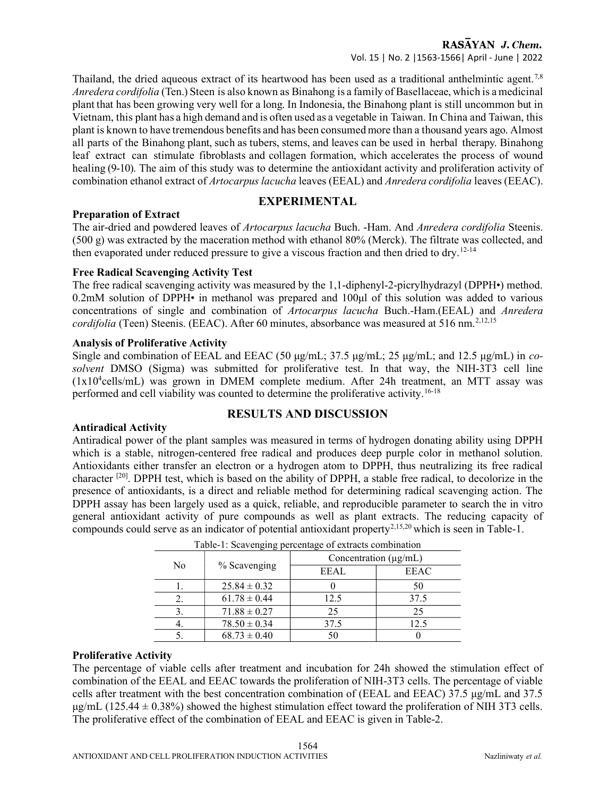Thailand, the dried aqueous extract of its heartwood has been used as a traditional anthelmintic agent.<sup>7,8</sup> Anredera cordifolia (Ten.) Steen is also known as Binahong is a family of Basellaceae, which is a medicinal plant that has been growing very well for a long. In Indonesia, the Binahong plant is still uncommon but in Vietnam, this plant has a high demand and is often used as a vegetable in Taiwan. In China and Taiwan, this plant is known to have tremendous benefits and has been consumed more than a thousand years ago. Almost all parts of the Binahong plant, such as tubers, stems, and leaves can be used in herbal therapy. Binahong leaf extract can stimulate fibroblasts and collagen formation, which accelerates the process of wound healing (9-10). The aim of this study was to determine the antioxidant activity and proliferation activity of combination ethanol extract of Artocarpus lacucha leaves (EEAL) and Anredera cordifolia leaves (EEAC).

## EXPERIMENTAL

## Preparation of Extract

The air-dried and powdered leaves of Artocarpus lacucha Buch. -Ham. And Anredera cordifolia Steenis. (500 g) was extracted by the maceration method with ethanol 80% (Merck). The filtrate was collected, and then evaporated under reduced pressure to give a viscous fraction and then dried to dry.<sup>12-14</sup>

## Free Radical Scavenging Activity Test

The free radical scavenging activity was measured by the 1,1-diphenyl-2-picrylhydrazyl (DPPH•) method. 0.2mM solution of DPPH• in methanol was prepared and 100μl of this solution was added to various concentrations of single and combination of Artocarpus lacucha Buch.-Ham.(EEAL) and Anredera  $cordifolia$  (Teen) Steenis. (EEAC). After 60 minutes, absorbance was measured at 516 nm.<sup>2,12,15</sup>

## Analysis of Proliferative Activity

Single and combination of EEAL and EEAC (50  $\mu$ g/mL; 37.5  $\mu$ g/mL; 25  $\mu$ g/mL; and 12.5  $\mu$ g/mL) in cosolvent DMSO (Sigma) was submitted for proliferative test. In that way, the NIH-3T3 cell line  $(1x10<sup>4</sup>cells/mL)$  was grown in DMEM complete medium. After 24h treatment, an MTT assay was performed and cell viability was counted to determine the proliferative activity.16-18

## RESULTS AND DISCUSSION

#### Antiradical Activity

Antiradical power of the plant samples was measured in terms of hydrogen donating ability using DPPH which is a stable, nitrogen-centered free radical and produces deep purple color in methanol solution. Antioxidants either transfer an electron or a hydrogen atom to DPPH, thus neutralizing its free radical character [20]. DPPH test, which is based on the ability of DPPH, a stable free radical, to decolorize in the presence of antioxidants, is a direct and reliable method for determining radical scavenging action. The DPPH assay has been largely used as a quick, reliable, and reproducible parameter to search the in vitro general antioxidant activity of pure compounds as well as plant extracts. The reducing capacity of compounds could serve as an indicator of potential antioxidant property2,15,20 which is seen in Table-1.

| raone 1. Seavenging percentage of extracts comomation |                  |                            |             |  |  |  |
|-------------------------------------------------------|------------------|----------------------------|-------------|--|--|--|
| No                                                    | % Scavenging     | Concentration $(\mu g/mL)$ |             |  |  |  |
|                                                       |                  | <b>EEAL</b>                | <b>EEAC</b> |  |  |  |
|                                                       | $25.84 \pm 0.32$ |                            | 50          |  |  |  |
| 2.                                                    | $61.78 \pm 0.44$ | 12.5                       | 37.5        |  |  |  |
|                                                       | $71.88 \pm 0.27$ | 25                         | 25          |  |  |  |
|                                                       | $78.50 \pm 0.34$ | 37.5                       | 12.5        |  |  |  |
|                                                       | $68.73 \pm 0.40$ | 50                         |             |  |  |  |

|  |  | Table-1: Scavenging percentage of extracts combination |
|--|--|--------------------------------------------------------|
|--|--|--------------------------------------------------------|

## Proliferative Activity

The percentage of viable cells after treatment and incubation for 24h showed the stimulation effect of combination of the EEAL and EEAC towards the proliferation of NIH-3T3 cells. The percentage of viable cells after treatment with the best concentration combination of (EEAL and EEAC) 37.5 μg/mL and 37.5  $\mu$ g/mL (125.44  $\pm$  0.38%) showed the highest stimulation effect toward the proliferation of NIH 3T3 cells. The proliferative effect of the combination of EEAL and EEAC is given in Table-2.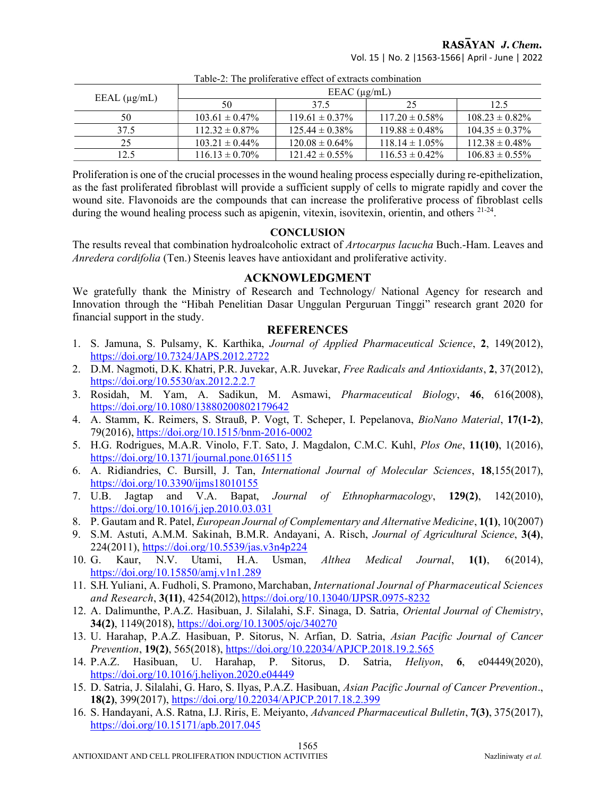RASAYAN J. Chem.

Vol. 15 | No. 2 |1563-1566| April - June | 2022

| EEAL $(\mu g/mL)$ | EEAC $(\mu g/mL)$   |                     |                     |                     |  |
|-------------------|---------------------|---------------------|---------------------|---------------------|--|
|                   | 50                  | 37.5                | 25                  | 12.5                |  |
| 50                | $103.61 \pm 0.47\%$ | $119.61 \pm 0.37\%$ | $117.20 \pm 0.58\%$ | $108.23 \pm 0.82\%$ |  |
| 37.5              | $112.32 \pm 0.87\%$ | $125.44 \pm 0.38\%$ | $119.88 \pm 0.48\%$ | $104.35 \pm 0.37\%$ |  |
| 25                | $103.21 \pm 0.44\%$ | $120.08 \pm 0.64\%$ | $118.14 \pm 1.05\%$ | $112.38 \pm 0.48\%$ |  |
| 12.5              | $116.13 \pm 0.70\%$ | $121.42 \pm 0.55\%$ | $116.53 \pm 0.42\%$ | $106.83 \pm 0.55\%$ |  |

Table-2: The proliferative effect of extracts combination

Proliferation is one of the crucial processes in the wound healing process especially during re-epithelization, as the fast proliferated fibroblast will provide a sufficient supply of cells to migrate rapidly and cover the wound site. Flavonoids are the compounds that can increase the proliferative process of fibroblast cells during the wound healing process such as apigenin, vitexin, isovitexin, orientin, and others <sup>21-24</sup>.

## **CONCLUSION**

The results reveal that combination hydroalcoholic extract of Artocarpus lacucha Buch.-Ham. Leaves and Anredera cordifolia (Ten.) Steenis leaves have antioxidant and proliferative activity.

## ACKNOWLEDGMENT

We gratefully thank the Ministry of Research and Technology/ National Agency for research and Innovation through the "Hibah Penelitian Dasar Unggulan Perguruan Tinggi" research grant 2020 for financial support in the study.

## REFERENCES

- 1. S. Jamuna, S. Pulsamy, K. Karthika, Journal of Applied Pharmaceutical Science, 2, 149(2012), https://doi.org/10.7324/JAPS.2012.2722
- 2. D.M. Nagmoti, D.K. Khatri, P.R. Juvekar, A.R. Juvekar, Free Radicals and Antioxidants, 2, 37(2012), https://doi.org/10.5530/ax.2012.2.2.7
- 3. Rosidah, M. Yam, A. Sadikun, M. Asmawi, Pharmaceutical Biology, 46, 616(2008), https://doi.org/10.1080/13880200802179642
- 4. A. Stamm, K. Reimers, S. Strauß, P. Vogt, T. Scheper, I. Pepelanova, BioNano Material, 17(1-2), 79(2016), https://doi.org/10.1515/bnm-2016-0002
- 5. H.G. Rodrigues, M.A.R. Vinolo, F.T. Sato, J. Magdalon, C.M.C. Kuhl, Plos One, 11(10), 1(2016), https://doi.org/10.1371/journal.pone.0165115
- 6. A. Ridiandries, C. Bursill, J. Tan, International Journal of Molecular Sciences, 18,155(2017), https://doi.org/10.3390/ijms18010155
- 7. U.B. Jagtap and V.A. Bapat, Journal of Ethnopharmacology, 129(2), 142(2010), https://doi.org/10.1016/j.jep.2010.03.031
- 8. P. Gautam and R. Patel, European Journal of Complementary and Alternative Medicine, 1(1), 10(2007)
- 9. S.M. Astuti, A.M.M. Sakinah, B.M.R. Andayani, A. Risch, Journal of Agricultural Science, 3(4), 224(2011), https://doi.org/10.5539/jas.v3n4p224
- 10. G. Kaur, N.V. Utami, H.A. Usman, Althea Medical Journal, 1(1), 6(2014), https://doi.org/10.15850/amj.v1n1.289
- 11. S.H. Yuliani, A. Fudholi, S. Pramono, Marchaban, International Journal of Pharmaceutical Sciences and Research, 3(11), 4254(2012), https://doi.org/10.13040/IJPSR.0975-8232
- 12. A. Dalimunthe, P.A.Z. Hasibuan, J. Silalahi, S.F. Sinaga, D. Satria, Oriental Journal of Chemistry, 34(2), 1149(2018), https://doi.org/10.13005/ojc/340270
- 13. U. Harahap, P.A.Z. Hasibuan, P. Sitorus, N. Arfian, D. Satria, Asian Pacific Journal of Cancer Prevention, 19(2), 565(2018), https://doi.org/10.22034/APJCP.2018.19.2.565
- 14. P.A.Z. Hasibuan, U. Harahap, P. Sitorus, D. Satria, Heliyon, 6, e04449(2020), https://doi.org/10.1016/j.heliyon.2020.e04449
- 15. D. Satria, J. Silalahi, G. Haro, S. Ilyas, P.A.Z. Hasibuan, Asian Pacific Journal of Cancer Prevention., 18(2), 399(2017), https://doi.org/10.22034/APJCP.2017.18.2.399
- 16. S. Handayani, A.S. Ratna, I.J. Riris, E. Meiyanto, Advanced Pharmaceutical Bulletin, 7(3), 375(2017), https://doi.org/10.15171/apb.2017.045